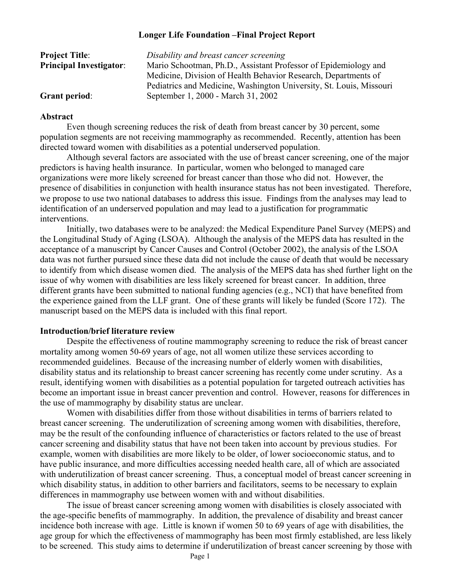# **Longer Life Foundation –Final Project Report**

| <b>Project Title:</b>          | Disability and breast cancer screening                              |
|--------------------------------|---------------------------------------------------------------------|
| <b>Principal Investigator:</b> | Mario Schootman, Ph.D., Assistant Professor of Epidemiology and     |
|                                | Medicine, Division of Health Behavior Research, Departments of      |
|                                | Pediatrics and Medicine, Washington University, St. Louis, Missouri |
| <b>Grant period:</b>           | September 1, 2000 - March 31, 2002                                  |

## **Abstract**

Even though screening reduces the risk of death from breast cancer by 30 percent, some population segments are not receiving mammography as recommended. Recently, attention has been directed toward women with disabilities as a potential underserved population.

Although several factors are associated with the use of breast cancer screening, one of the major predictors is having health insurance. In particular, women who belonged to managed care organizations were more likely screened for breast cancer than those who did not. However, the presence of disabilities in conjunction with health insurance status has not been investigated. Therefore, we propose to use two national databases to address this issue. Findings from the analyses may lead to identification of an underserved population and may lead to a justification for programmatic interventions.

Initially, two databases were to be analyzed: the Medical Expenditure Panel Survey (MEPS) and the Longitudinal Study of Aging (LSOA). Although the analysis of the MEPS data has resulted in the acceptance of a manuscript by Cancer Causes and Control (October 2002), the analysis of the LSOA data was not further pursued since these data did not include the cause of death that would be necessary to identify from which disease women died. The analysis of the MEPS data has shed further light on the issue of why women with disabilities are less likely screened for breast cancer. In addition, three different grants have been submitted to national funding agencies (e.g., NCI) that have benefited from the experience gained from the LLF grant. One of these grants will likely be funded (Score 172). The manuscript based on the MEPS data is included with this final report.

## **Introduction/brief literature review**

Despite the effectiveness of routine mammography screening to reduce the risk of breast cancer mortality among women 50-69 years of age, not all women utilize these services according to recommended guidelines. Because of the increasing number of elderly women with disabilities, disability status and its relationship to breast cancer screening has recently come under scrutiny. As a result, identifying women with disabilities as a potential population for targeted outreach activities has become an important issue in breast cancer prevention and control. However, reasons for differences in the use of mammography by disability status are unclear.

Women with disabilities differ from those without disabilities in terms of barriers related to breast cancer screening. The underutilization of screening among women with disabilities, therefore, may be the result of the confounding influence of characteristics or factors related to the use of breast cancer screening and disability status that have not been taken into account by previous studies. For example, women with disabilities are more likely to be older, of lower socioeconomic status, and to have public insurance, and more difficulties accessing needed health care, all of which are associated with underutilization of breast cancer screening. Thus, a conceptual model of breast cancer screening in which disability status, in addition to other barriers and facilitators, seems to be necessary to explain differences in mammography use between women with and without disabilities.

The issue of breast cancer screening among women with disabilities is closely associated with the age-specific benefits of mammography. In addition, the prevalence of disability and breast cancer incidence both increase with age. Little is known if women 50 to 69 years of age with disabilities, the age group for which the effectiveness of mammography has been most firmly established, are less likely to be screened. This study aims to determine if underutilization of breast cancer screening by those with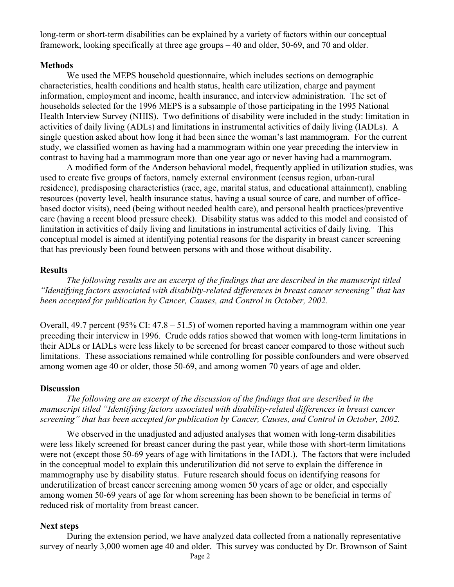long-term or short-term disabilities can be explained by a variety of factors within our conceptual framework, looking specifically at three age groups – 40 and older, 50-69, and 70 and older.

#### **Methods**

We used the MEPS household questionnaire, which includes sections on demographic characteristics, health conditions and health status, health care utilization, charge and payment information, employment and income, health insurance, and interview administration. The set of households selected for the 1996 MEPS is a subsample of those participating in the 1995 National Health Interview Survey (NHIS). Two definitions of disability were included in the study: limitation in activities of daily living (ADLs) and limitations in instrumental activities of daily living (IADLs). A single question asked about how long it had been since the woman's last mammogram. For the current study, we classified women as having had a mammogram within one year preceding the interview in contrast to having had a mammogram more than one year ago or never having had a mammogram.

A modified form of the Anderson behavioral model, frequently applied in utilization studies, was used to create five groups of factors, namely external environment (census region, urban-rural residence), predisposing characteristics (race, age, marital status, and educational attainment), enabling resources (poverty level, health insurance status, having a usual source of care, and number of officebased doctor visits), need (being without needed health care), and personal health practices/preventive care (having a recent blood pressure check). Disability status was added to this model and consisted of limitation in activities of daily living and limitations in instrumental activities of daily living. This conceptual model is aimed at identifying potential reasons for the disparity in breast cancer screening that has previously been found between persons with and those without disability.

#### **Results**

*The following results are an excerpt of the findings that are described in the manuscript titled "Identifying factors associated with disability-related differences in breast cancer screening" that has been accepted for publication by Cancer, Causes, and Control in October, 2002.* 

Overall, 49.7 percent (95% CI:  $47.8 - 51.5$ ) of women reported having a mammogram within one year preceding their interview in 1996. Crude odds ratios showed that women with long-term limitations in their ADLs or IADLs were less likely to be screened for breast cancer compared to those without such limitations. These associations remained while controlling for possible confounders and were observed among women age 40 or older, those 50-69, and among women 70 years of age and older.

### **Discussion**

*The following are an excerpt of the discussion of the findings that are described in the manuscript titled "Identifying factors associated with disability-related differences in breast cancer screening" that has been accepted for publication by Cancer, Causes, and Control in October, 2002.* 

We observed in the unadjusted and adjusted analyses that women with long-term disabilities were less likely screened for breast cancer during the past year, while those with short-term limitations were not (except those 50-69 years of age with limitations in the IADL). The factors that were included in the conceptual model to explain this underutilization did not serve to explain the difference in mammography use by disability status. Future research should focus on identifying reasons for underutilization of breast cancer screening among women 50 years of age or older, and especially among women 50-69 years of age for whom screening has been shown to be beneficial in terms of reduced risk of mortality from breast cancer.

### **Next steps**

During the extension period, we have analyzed data collected from a nationally representative survey of nearly 3,000 women age 40 and older. This survey was conducted by Dr. Brownson of Saint